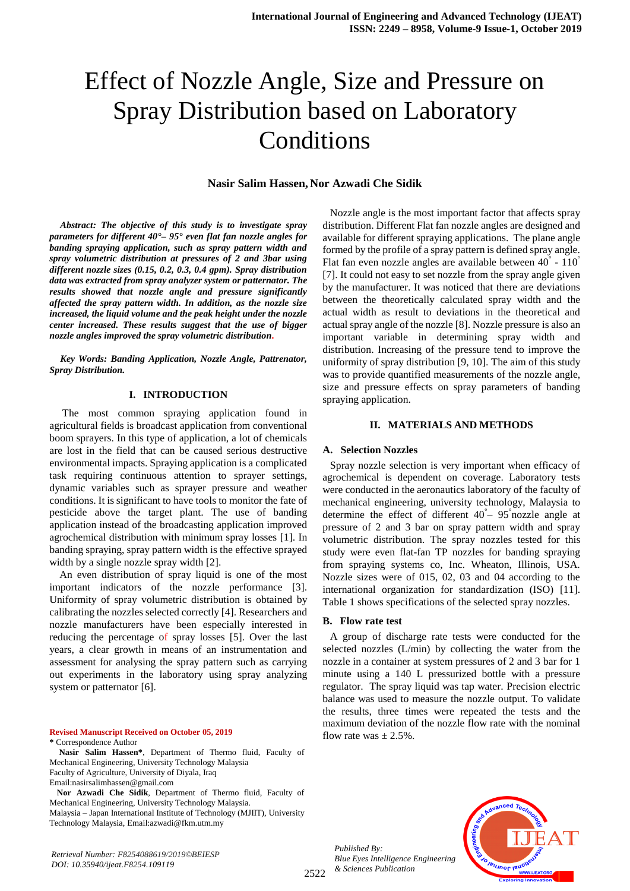# Effect of Nozzle Angle, Size and Pressure on Spray Distribution based on Laboratory Conditions

### **Nasir Salim Hassen, Nor Azwadi Che Sidik**

*Abstract: The objective of this study is to investigate spray parameters for different 40°– 95° even flat fan nozzle angles for banding spraying application, such as spray pattern width and spray volumetric distribution at pressures of 2 and 3bar using different nozzle sizes (0.15, 0.2, 0.3, 0.4 gpm). Spray distribution data was extracted from spray analyzer system or patternator. The results showed that nozzle angle and pressure significantly affected the spray pattern width. In addition, as the nozzle size increased, the liquid volume and the peak height under the nozzle center increased. These results suggest that the use of bigger nozzle angles improved the spray volumetric distribution.*

*Key Words: Banding Application, Nozzle Angle, Pattrenator, Spray Distribution.* 

#### **I. INTRODUCTION**

 The most common spraying application found in agricultural fields is broadcast application from conventional boom sprayers. In this type of application, a lot of chemicals are lost in the field that can be caused serious destructive environmental impacts. Spraying application is a complicated task requiring continuous attention to sprayer settings, dynamic variables such as sprayer pressure and weather conditions. It is significant to have tools to monitor the fate of pesticide above the target plant. The use of banding application instead of the broadcasting application improved agrochemical distribution with minimum spray losses [1]. In banding spraying, spray pattern width is the effective sprayed width by a single nozzle spray width [2].

An even distribution of spray liquid is one of the most important indicators of the nozzle performance [3]. Uniformity of spray volumetric distribution is obtained by calibrating the nozzles selected correctly [4]. Researchers and nozzle manufacturers have been especially interested in reducing the percentage of spray losses [5]. Over the last years, a clear growth in means of an instrumentation and assessment for analysing the spray pattern such as carrying out experiments in the laboratory using spray analyzing system or patternator [6].

**Revised Manuscript Received on October 05, 2019 \*** Correspondence Author

**Nasir Salim Hassen\***, Department of Thermo fluid, Faculty of Mechanical Engineering, University Technology Malaysia Faculty of Agriculture, University of Diyala, Iraq Email:nasirsalimhassen@gmail.com

**Nor Azwadi Che Sidik**, Department of Thermo fluid, Faculty of Mechanical Engineering, University Technology Malaysia. Malaysia – Japan International Institute of Technology (MJIIT), University Technology Malaysia, Email:azwadi@fkm.utm.my

*Retrieval Number: F8254088619/2019©BEIESP DOI: 10.35940/ijeat.F8254.109119*

Nozzle angle is the most important factor that affects spray distribution. Different Flat fan nozzle angles are designed and available for different spraying applications. The plane angle formed by the profile of a spray pattern is defined spray angle. Flat fan even nozzle angles are available between 40° - 110° [7]. It could not easy to set nozzle from the spray angle given by the manufacturer. It was noticed that there are deviations between the theoretically calculated spray width and the actual width as result to deviations in the theoretical and actual spray angle of the nozzle [8]. Nozzle pressure is also an important variable in determining spray width and distribution. Increasing of the pressure tend to improve the uniformity of spray distribution [9, 10]. The aim of this study was to provide quantified measurements of the nozzle angle, size and pressure effects on spray parameters of banding spraying application.

## **II. MATERIALS AND METHODS**

#### **A. Selection Nozzles**

Spray nozzle selection is very important when efficacy of agrochemical is dependent on coverage. Laboratory tests were conducted in the aeronautics laboratory of the faculty of mechanical engineering, university technology, Malaysia to determine the effect of different 40<sup>°</sup> – 95<sup>°</sup> nozzle angle at pressure of 2 and 3 bar on spray pattern width and spray volumetric distribution. The spray nozzles tested for this study were even flat-fan TP nozzles for banding spraying from spraying systems co, Inc. Wheaton, Illinois, USA. Nozzle sizes were of 015, 02, 03 and 04 according to the international organization for standardization (ISO) [11]. Table 1 shows specifications of the selected spray nozzles.

#### **B. Flow rate test**

A group of discharge rate tests were conducted for the selected nozzles (L/min) by collecting the water from the nozzle in a container at system pressures of 2 and 3 bar for 1 minute using a 140 L pressurized bottle with a pressure regulator. The spray liquid was tap water. Precision electric balance was used to measure the nozzle output. To validate the results, three times were repeated the tests and the maximum deviation of the nozzle flow rate with the nominal flow rate was  $\pm 2.5\%$ .

*Published By: Blue Eyes Intelligence Engineering & Sciences Publication* 

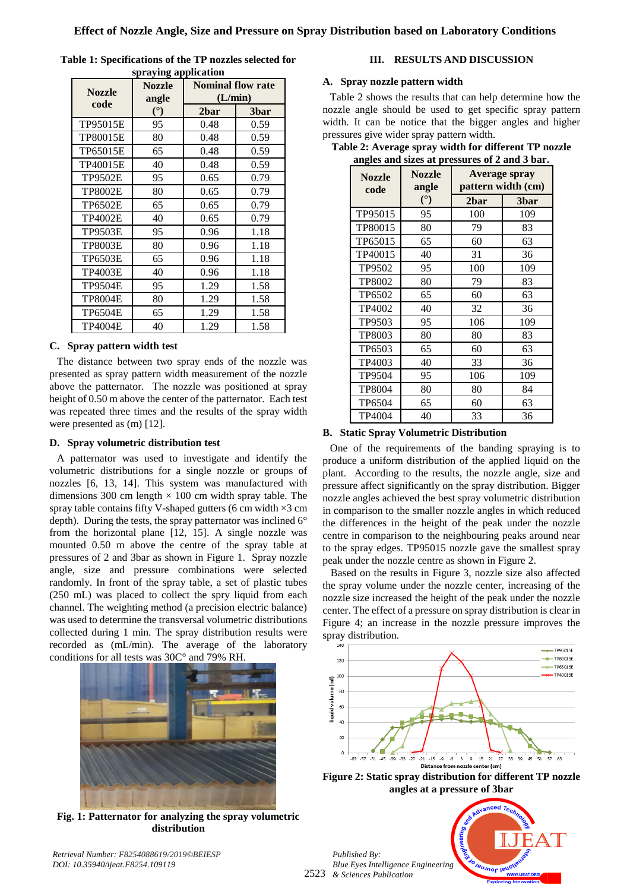| <b>Nozzle</b><br>code | <b>Nozzle</b><br>angle | <b>Nominal flow rate</b><br>(L/min) |      |
|-----------------------|------------------------|-------------------------------------|------|
|                       | $(^\circ)$             | 2bar                                | 3bar |
| TP95015E              | 95                     | 0.48                                | 0.59 |
| TP80015E              | 80                     | 0.48                                | 0.59 |
| TP65015E              | 65                     | 0.48                                | 0.59 |
| TP40015E              | 40                     | 0.48                                | 0.59 |
| <b>TP9502E</b>        | 95                     | 0.65                                | 0.79 |
| <b>TP8002E</b>        | 80                     | 0.65                                | 0.79 |
| <b>TP6502E</b>        | 65                     | 0.65                                | 0.79 |
| <b>TP4002E</b>        | 40                     | 0.65                                | 0.79 |
| <b>TP9503E</b>        | 95                     | 0.96                                | 1.18 |
| <b>TP8003E</b>        | 80                     | 0.96                                | 1.18 |
| <b>TP6503E</b>        | 65                     | 0.96                                | 1.18 |
| <b>TP4003E</b>        | 40                     | 0.96                                | 1.18 |
| <b>TP9504E</b>        | 95                     | 1.29                                | 1.58 |
| <b>TP8004E</b>        | 80                     | 1.29                                | 1.58 |
| <b>TP6504E</b>        | 65                     | 1.29                                | 1.58 |
| TP4004E               | 40                     | 1.29                                | 1.58 |

| Table 1: Specifications of the TP nozzles selected for |  |  |  |  |  |
|--------------------------------------------------------|--|--|--|--|--|
| spraying application                                   |  |  |  |  |  |

# **C. Spray pattern width test**

The distance between two spray ends of the nozzle was presented as spray pattern width measurement of the nozzle above the patternator. The nozzle was positioned at spray height of 0.50 m above the center of the patternator. Each test was repeated three times and the results of the spray width were presented as (m) [12].

## **D. Spray volumetric distribution test**

A patternator was used to investigate and identify the volumetric distributions for a single nozzle or groups of nozzles [6, 13, 14]. This system was manufactured with dimensions 300 cm length  $\times$  100 cm width spray table. The spray table contains fifty V-shaped gutters (6 cm width  $\times$ 3 cm depth). During the tests, the spray patternator was inclined 6° from the horizontal plane [12, 15]. A single nozzle was mounted 0.50 m above the centre of the spray table at pressures of 2 and 3bar as shown in Figure 1. Spray nozzle angle, size and pressure combinations were selected randomly. In front of the spray table, a set of plastic tubes (250 mL) was placed to collect the spry liquid from each channel. The weighting method (a precision electric balance) was used to determine the transversal volumetric distributions collected during 1 min. The spray distribution results were recorded as (mL/min). The average of the laboratory conditions for all tests was 30C° and 79% RH.



**Fig. 1: Patternator for analyzing the spray volumetric distribution**

**III. RESULTS AND DISCUSSION**

## **A. Spray nozzle pattern width**

Table 2 shows the results that can help determine how the nozzle angle should be used to get specific spray pattern width. It can be notice that the bigger angles and higher pressures give wider spray pattern width.

**Table 2: Average spray width for different TP nozzle angles and sizes at pressures of 2 and 3 bar.**

| <b>Nozzle</b><br>code | <b>Nozzle</b><br>angle | <b>Average spray</b><br>pattern width (cm) |      |
|-----------------------|------------------------|--------------------------------------------|------|
|                       | (°)                    | 2bar                                       | 3bar |
| TP95015               | 95                     | 100                                        | 109  |
| TP80015               | 80                     | 79                                         | 83   |
| TP65015               | 65                     | 60                                         | 63   |
| TP40015               | 40                     | 31                                         | 36   |
| TP9502                | 95                     | 100                                        | 109  |
| <b>TP8002</b>         | 80                     | 79                                         | 83   |
| TP6502                | 65                     | 60                                         | 63   |
| TP4002                | 40                     | 32                                         | 36   |
| TP9503                | 95                     | 106                                        | 109  |
| TP8003                | 80                     | 80                                         | 83   |
| TP6503                | 65                     | 60                                         | 63   |
| TP4003                | 40                     | 33                                         | 36   |
| TP9504                | 95                     | 106                                        | 109  |
| TP8004                | 80                     | 80                                         | 84   |
| TP6504                | 65                     | 60                                         | 63   |
| TP4004                | 40                     | 33                                         | 36   |

## **B. Static Spray Volumetric Distribution**

One of the requirements of the banding spraying is to produce a uniform distribution of the applied liquid on the plant. According to the results, the nozzle angle, size and pressure affect significantly on the spray distribution. Bigger nozzle angles achieved the best spray volumetric distribution in comparison to the smaller nozzle angles in which reduced the differences in the height of the peak under the nozzle centre in comparison to the neighbouring peaks around near to the spray edges. TP95015 nozzle gave the smallest spray peak under the nozzle centre as shown in Figure 2.

 Based on the results in Figure 3, nozzle size also affected the spray volume under the nozzle center, increasing of the nozzle size increased the height of the peak under the nozzle center. The effect of a pressure on spray distribution is clear in Figure 4; an increase in the nozzle pressure improves the spray distribution.



**Figure 2: Static spray distribution for different TP nozzle angles at a pressure of 3bar**

2523 *& Sciences Publication Published By: Blue Eyes Intelligence Engineering* 



*Retrieval Number: F8254088619/2019©BEIESP DOI: 10.35940/ijeat.F8254.109119*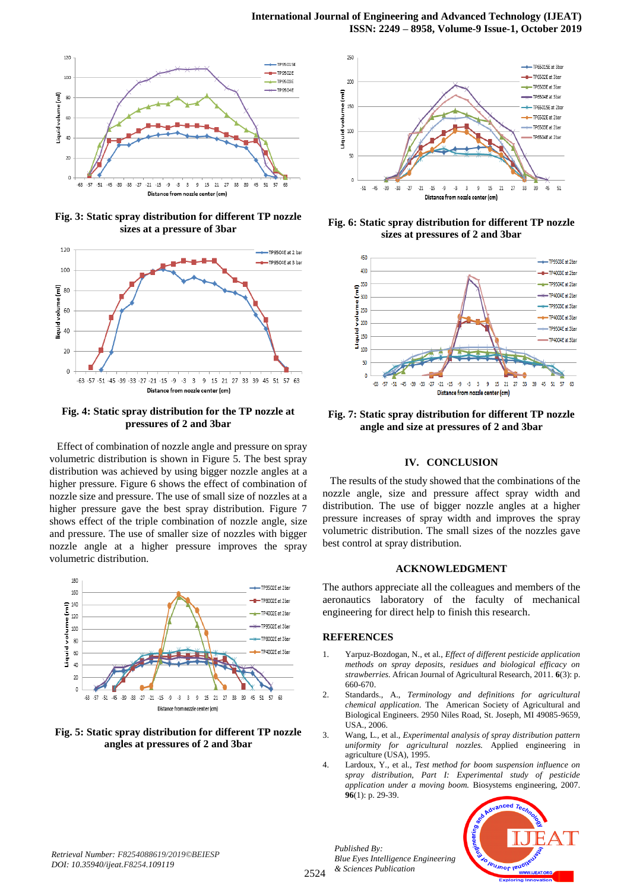

**Fig. 3: Static spray distribution for different TP nozzle sizes at a pressure of 3bar**



## **Fig. 4: Static spray distribution for the TP nozzle at pressures of 2 and 3bar**

Effect of combination of nozzle angle and pressure on spray volumetric distribution is shown in Figure 5. The best spray distribution was achieved by using bigger nozzle angles at a higher pressure. Figure 6 shows the effect of combination of nozzle size and pressure. The use of small size of nozzles at a higher pressure gave the best spray distribution. Figure 7 shows effect of the triple combination of nozzle angle, size and pressure. The use of smaller size of nozzles with bigger nozzle angle at a higher pressure improves the spray volumetric distribution.



**Fig. 5: Static spray distribution for different TP nozzle angles at pressures of 2 and 3bar**



**Fig. 6: Static spray distribution for different TP nozzle sizes at pressures of 2 and 3bar**



**Fig. 7: Static spray distribution for different TP nozzle angle and size at pressures of 2 and 3bar**

# **IV. CONCLUSION**

The results of the study showed that the combinations of the nozzle angle, size and pressure affect spray width and distribution. The use of bigger nozzle angles at a higher pressure increases of spray width and improves the spray volumetric distribution. The small sizes of the nozzles gave best control at spray distribution.

## **ACKNOWLEDGMENT**

The authors appreciate all the colleagues and members of the aeronautics laboratory of the faculty of mechanical engineering for direct help to finish this research.

## **REFERENCES**

- 1. Yarpuz-Bozdogan, N., et al., *Effect of different pesticide application methods on spray deposits, residues and biological efficacy on strawberries.* African Journal of Agricultural Research, 2011. **6**(3): p. 660-670.
- 2. Standards., A., *Terminology and definitions for agricultural chemical application.* The American Society of Agricultural and Biological Engineers. 2950 Niles Road, St. Joseph, MI 49085-9659, USA., 2006.
- 3. Wang, L., et al., *Experimental analysis of spray distribution pattern uniformity for agricultural nozzles.* Applied engineering in agriculture (USA), 1995.
- 4. Lardoux, Y., et al., *Test method for boom suspension influence on spray distribution, Part I: Experimental study of pesticide application under a moving boom.* Biosystems engineering, 2007. **96**(1): p. 29-39.



*Published By:*